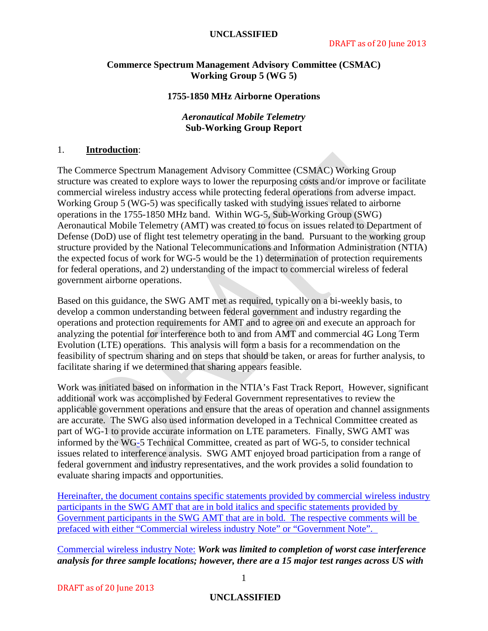#### **UNCLASSIFIED**

## **Commerce Spectrum Management Advisory Committee (CSMAC) Working Group 5 (WG 5)**

#### **1755-1850 MHz Airborne Operations**

## *Aeronautical Mobile Telemetry* **Sub-Working Group Report**

#### 1. **Introduction**:

The Commerce Spectrum Management Advisory Committee (CSMAC) Working Group structure was created to explore ways to lower the repurposing costs and/or improve or facilitate commercial wireless industry access while protecting federal operations from adverse impact. Working Group 5 (WG-5) was specifically tasked with studying issues related to airborne operations in the 1755-1850 MHz band. Within WG-5, Sub-Working Group (SWG) Aeronautical Mobile Telemetry (AMT) was created to focus on issues related to Department of Defense (DoD) use of flight test telemetry operating in the band. Pursuant to the working group structure provided by the National Telecommunications and Information Administration (NTIA) the expected focus of work for WG-5 would be the 1) determination of protection requirements for federal operations, and 2) understanding of the impact to commercial wireless of federal government airborne operations.

Based on this guidance, the SWG AMT met as required, typically on a bi-weekly basis, to develop a common understanding between federal government and industry regarding the operations and protection requirements for AMT and to agree on and execute an approach for analyzing the potential for interference both to and from AMT and commercial 4G Long Term Evolution (LTE) operations. This analysis will form a basis for a recommendation on the feasibility of spectrum sharing and on steps that should be taken, or areas for further analysis, to facilitate sharing if we determined that sharing appears feasible.

Work was initiated based on information in the NTIA's Fast Track Report. However, significant additional work was accomplished by Federal Government representatives to review the applicable government operations and ensure that the areas of operation and channel assignments are accurate. The SWG also used information developed in a Technical Committee created as part of WG-1 to provide accurate information on LTE parameters. Finally, SWG AMT was informed by the WG-5 Technical Committee, created as part of WG-5, to consider technical issues related to interference analysis. SWG AMT enjoyed broad participation from a range of federal government and industry representatives, and the work provides a solid foundation to evaluate sharing impacts and opportunities.

Hereinafter, the document contains specific statements provided by commercial wireless industry participants in the SWG AMT that are in bold italics and specific statements provided by Government participants in the SWG AMT that are in bold. The respective comments will be prefaced with either "Commercial wireless industry Note" or "Government Note".

Commercial wireless industry Note: *Work was limited to completion of worst case interference analysis for three sample locations; however, there are a 15 major test ranges across US with* 

## **UNCLASSIFIED**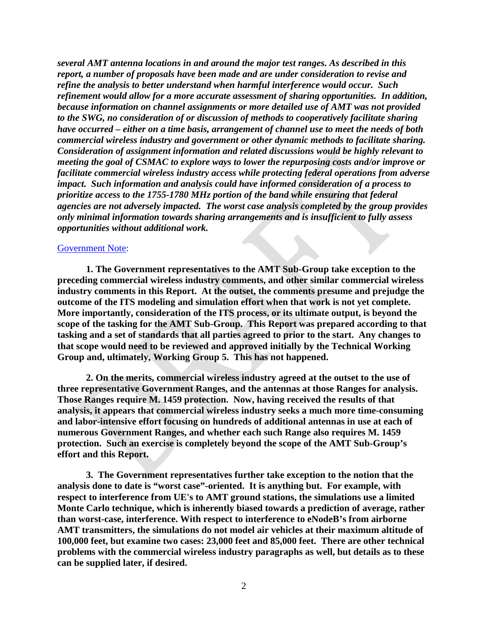*several AMT antenna locations in and around the major test ranges. As described in this report, a number of proposals have been made and are under consideration to revise and refine the analysis to better understand when harmful interference would occur. Such refinement would allow for a more accurate assessment of sharing opportunities. In addition, because information on channel assignments or more detailed use of AMT was not provided to the SWG, no consideration of or discussion of methods to cooperatively facilitate sharing have occurred – either on a time basis, arrangement of channel use to meet the needs of both commercial wireless industry and government or other dynamic methods to facilitate sharing. Consideration of assignment information and related discussions would be highly relevant to meeting the goal of CSMAC to explore ways to lower the repurposing costs and/or improve or facilitate commercial wireless industry access while protecting federal operations from adverse impact. Such information and analysis could have informed consideration of a process to prioritize access to the 1755-1780 MHz portion of the band while ensuring that federal agencies are not adversely impacted. The worst case analysis completed by the group provides only minimal information towards sharing arrangements and is insufficient to fully assess opportunities without additional work.*

#### Government Note:

**1. The Government representatives to the AMT Sub-Group take exception to the preceding commercial wireless industry comments, and other similar commercial wireless industry comments in this Report. At the outset, the comments presume and prejudge the outcome of the ITS modeling and simulation effort when that work is not yet complete. More importantly, consideration of the ITS process, or its ultimate output, is beyond the scope of the tasking for the AMT Sub-Group. This Report was prepared according to that tasking and a set of standards that all parties agreed to prior to the start. Any changes to that scope would need to be reviewed and approved initially by the Technical Working Group and, ultimately, Working Group 5. This has not happened.** 

**2. On the merits, commercial wireless industry agreed at the outset to the use of three representative Government Ranges, and the antennas at those Ranges for analysis. Those Ranges require M. 1459 protection. Now, having received the results of that analysis, it appears that commercial wireless industry seeks a much more time-consuming and labor-intensive effort focusing on hundreds of additional antennas in use at each of numerous Government Ranges, and whether each such Range also requires M. 1459 protection. Such an exercise is completely beyond the scope of the AMT Sub-Group's effort and this Report.** 

**3. The Government representatives further take exception to the notion that the analysis done to date is "worst case"-oriented. It is anything but. For example, with respect to interference from UE's to AMT ground stations, the simulations use a limited Monte Carlo technique, which is inherently biased towards a prediction of average, rather than worst-case, interference. With respect to interference to eNodeB's from airborne AMT transmitters, the simulations do not model air vehicles at their maximum altitude of 100,000 feet, but examine two cases: 23,000 feet and 85,000 feet. There are other technical problems with the commercial wireless industry paragraphs as well, but details as to these can be supplied later, if desired.**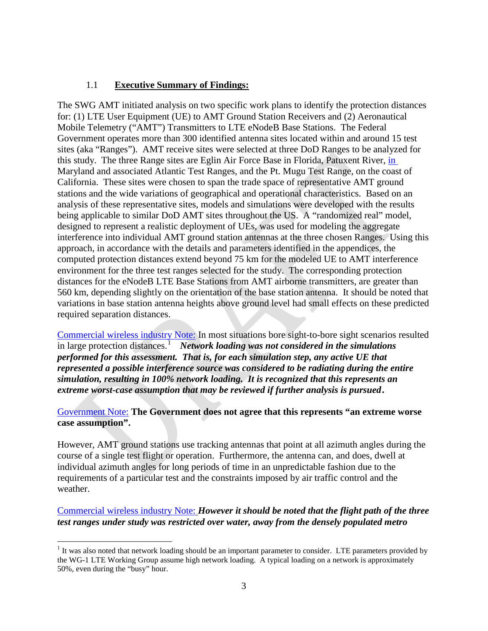## 1.1 **Executive Summary of Findings:**

The SWG AMT initiated analysis on two specific work plans to identify the protection distances for: (1) LTE User Equipment (UE) to AMT Ground Station Receivers and (2) Aeronautical Mobile Telemetry ("AMT") Transmitters to LTE eNodeB Base Stations. The Federal Government operates more than 300 identified antenna sites located within and around 15 test sites (aka "Ranges"). AMT receive sites were selected at three DoD Ranges to be analyzed for this study. The three Range sites are Eglin Air Force Base in Florida, Patuxent River, in Maryland and associated Atlantic Test Ranges, and the Pt. Mugu Test Range, on the coast of California. These sites were chosen to span the trade space of representative AMT ground stations and the wide variations of geographical and operational characteristics. Based on an analysis of these representative sites, models and simulations were developed with the results being applicable to similar DoD AMT sites throughout the US. A "randomized real" model, designed to represent a realistic deployment of UEs, was used for modeling the aggregate interference into individual AMT ground station antennas at the three chosen Ranges. Using this approach, in accordance with the details and parameters identified in the appendices, the computed protection distances extend beyond 75 km for the modeled UE to AMT interference environment for the three test ranges selected for the study. The corresponding protection distances for the eNodeB LTE Base Stations from AMT airborne transmitters, are greater than 560 km, depending slightly on the orientation of the base station antenna. It should be noted that variations in base station antenna heights above ground level had small effects on these predicted required separation distances.

Commercial wireless industry Note: In most situations bore sight-to-bore sight scenarios resulted in large protection distances. [1](#page-2-0) *Network loading was not considered in the simulations performed for this assessment. That is, for each simulation step, any active UE that represented a possible interference source was considered to be radiating during the entire simulation, resulting in 100% network loading. It is recognized that this represents an extreme worst-case assumption that may be reviewed if further analysis is pursued.*

## Government Note: **The Government does not agree that this represents "an extreme worse case assumption".**

However, AMT ground stations use tracking antennas that point at all azimuth angles during the course of a single test flight or operation. Furthermore, the antenna can, and does, dwell at individual azimuth angles for long periods of time in an unpredictable fashion due to the requirements of a particular test and the constraints imposed by air traffic control and the weather.

## Commercial wireless industry Note: *However it should be noted that the flight path of the three test ranges under study was restricted over water, away from the densely populated metro*

<span id="page-2-0"></span> $<sup>1</sup>$  It was also noted that network loading should be an important parameter to consider. LTE parameters provided by</sup> the WG-1 LTE Working Group assume high network loading. A typical loading on a network is approximately 50%, even during the "busy" hour.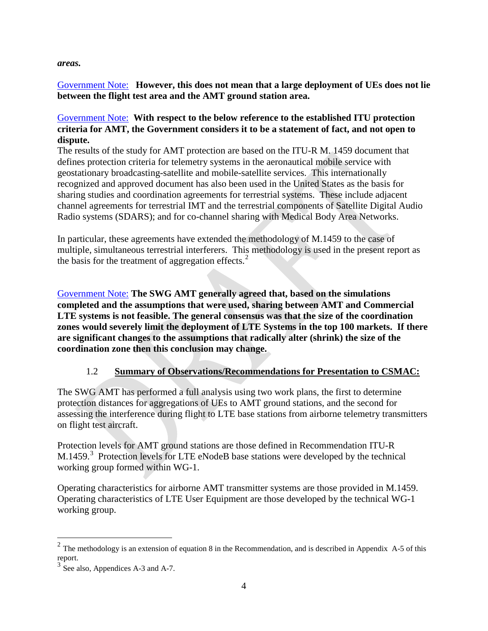## *areas.*

## Government Note: **However, this does not mean that a large deployment of UEs does not lie between the flight test area and the AMT ground station area.**

## Government Note: **With respect to the below reference to the established ITU protection criteria for AMT, the Government considers it to be a statement of fact, and not open to dispute.**

The results of the study for AMT protection are based on the ITU-R M. 1459 document that defines protection criteria for telemetry systems in the aeronautical mobile service with geostationary broadcasting-satellite and mobile-satellite services. This internationally recognized and approved document has also been used in the United States as the basis for sharing studies and coordination agreements for terrestrial systems. These include adjacent channel agreements for terrestrial IMT and the terrestrial components of Satellite Digital Audio Radio systems (SDARS); and for co-channel sharing with Medical Body Area Networks.

In particular, these agreements have extended the methodology of M.1459 to the case of multiple, simultaneous terrestrial interferers. This methodology is used in the present report as the basis for the treatment of aggregation effects. $<sup>2</sup>$  $<sup>2</sup>$  $<sup>2</sup>$ </sup>

Government Note: **The SWG AMT generally agreed that, based on the simulations completed and the assumptions that were used, sharing between AMT and Commercial LTE systems is not feasible. The general consensus was that the size of the coordination zones would severely limit the deployment of LTE Systems in the top 100 markets. If there are significant changes to the assumptions that radically alter (shrink) the size of the coordination zone then this conclusion may change.** 

## 1.2 **Summary of Observations/Recommendations for Presentation to CSMAC:**

The SWG AMT has performed a full analysis using two work plans, the first to determine protection distances for aggregations of UEs to AMT ground stations, and the second for assessing the interference during flight to LTE base stations from airborne telemetry transmitters on flight test aircraft.

Protection levels for AMT ground stations are those defined in Recommendation ITU-R M.1459. $3$  Protection levels for LTE eNodeB base stations were developed by the technical working group formed within WG-1.

Operating characteristics for airborne AMT transmitter systems are those provided in M.1459. Operating characteristics of LTE User Equipment are those developed by the technical WG-1 working group.

<span id="page-3-0"></span> $2$  The methodology is an extension of equation 8 in the Recommendation, and is described in Appendix A-5 of this report.

<span id="page-3-1"></span> $3$  See also, Appendices A-3 and A-7.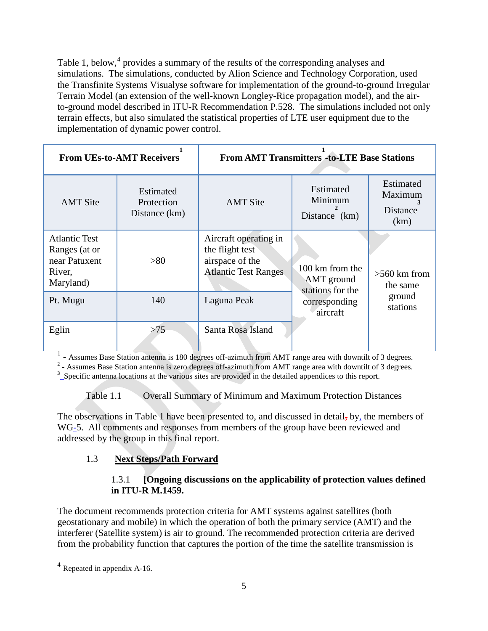Table 1, below,<sup>[4](#page-4-0)</sup> provides a summary of the results of the corresponding analyses and simulations. The simulations, conducted by Alion Science and Technology Corporation, used the Transfinite Systems Visualyse software for implementation of the ground-to-ground Irregular Terrain Model (an extension of the well-known Longley-Rice propagation model), and the airto-ground model described in ITU-R Recommendation P.528. The simulations included not only terrain effects, but also simulated the statistical properties of LTE user equipment due to the implementation of dynamic power control.

| <b>From UEs-to-AMT Receivers</b>                                              |                                          | <b>From AMT Transmitters -to-LTE Base Stations</b>                                         |                                                   |                                                 |
|-------------------------------------------------------------------------------|------------------------------------------|--------------------------------------------------------------------------------------------|---------------------------------------------------|-------------------------------------------------|
| <b>AMT</b> Site                                                               | Estimated<br>Protection<br>Distance (km) | <b>AMT</b> Site                                                                            | Estimated<br>Minimum<br>Distance (km)             | Estimated<br>Maximum<br><b>Distance</b><br>(km) |
| <b>Atlantic Test</b><br>Ranges (at or<br>near Patuxent<br>River,<br>Maryland) | >80                                      | Aircraft operating in<br>the flight test<br>airspace of the<br><b>Atlantic Test Ranges</b> | 100 km from the<br>AMT ground<br>stations for the | $>560$ km from<br>the same                      |
| Pt. Mugu                                                                      | 140                                      | Laguna Peak                                                                                | ground<br>corresponding<br>stations<br>aircraft   |                                                 |
| Eglin                                                                         | >75                                      | Santa Rosa Island                                                                          |                                                   |                                                 |

<sup>1</sup> - Assumes Base Station antenna is 180 degrees off-azimuth from AMT range area with downtilt of 3 degrees.<br><sup>2</sup> - Assumes Base Station antenna is zero degrees off-azimuth from AMT range area with downtilt of 3 degrees.

<sup>3</sup> Specific antenna locations at the various sites are provided in the detailed appendices to this report.

Table 1.1 Overall Summary of Minimum and Maximum Protection Distances

The observations in Table 1 have been presented to, and discussed in detail, by, the members of WG-5. All comments and responses from members of the group have been reviewed and addressed by the group in this final report.

## 1.3 **Next Steps/Path Forward**

## 1.3.1 **[Ongoing discussions on the applicability of protection values defined in ITU-R M.1459.**

The document recommends protection criteria for AMT systems against satellites (both geostationary and mobile) in which the operation of both the primary service (AMT) and the interferer (Satellite system) is air to ground. The recommended protection criteria are derived from the probability function that captures the portion of the time the satellite transmission is

<span id="page-4-0"></span> <sup>4</sup> Repeated in appendix A-16.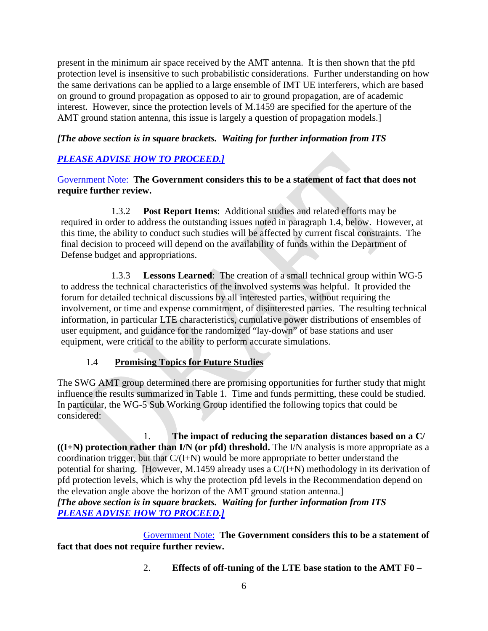present in the minimum air space received by the AMT antenna. It is then shown that the pfd protection level is insensitive to such probabilistic considerations. Further understanding on how the same derivations can be applied to a large ensemble of IMT UE interferers, which are based on ground to ground propagation as opposed to air to ground propagation, are of academic interest. However, since the protection levels of M.1459 are specified for the aperture of the AMT ground station antenna, this issue is largely a question of propagation models.

## *[The above section is in square brackets. Waiting for further information from ITS*

## *PLEASE ADVISE HOW TO PROCEED.]*

Government Note: **The Government considers this to be a statement of fact that does not require further review.**

1.3.2 **Post Report Items**: Additional studies and related efforts may be required in order to address the outstanding issues noted in paragraph 1.4, below. However, at this time, the ability to conduct such studies will be affected by current fiscal constraints. The final decision to proceed will depend on the availability of funds within the Department of Defense budget and appropriations.

1.3.3 **Lessons Learned**: The creation of a small technical group within WG-5 to address the technical characteristics of the involved systems was helpful. It provided the forum for detailed technical discussions by all interested parties, without requiring the involvement, or time and expense commitment, of disinterested parties. The resulting technical information, in particular LTE characteristics, cumulative power distributions of ensembles of user equipment, and guidance for the randomized "lay-down" of base stations and user equipment, were critical to the ability to perform accurate simulations.

## 1.4 **Promising Topics for Future Studies**

The SWG AMT group determined there are promising opportunities for further study that might influence the results summarized in Table 1. Time and funds permitting, these could be studied. In particular, the WG-5 Sub Working Group identified the following topics that could be considered:

1. **The impact of reducing the separation distances based on a C/ ((I+N) protection rather than I/N (or pfd) threshold.** The I/N analysis is more appropriate as a coordination trigger, but that  $C/(I+N)$  would be more appropriate to better understand the potential for sharing. [However, M.1459 already uses a C/(I+N) methodology in its derivation of pfd protection levels, which is why the protection pfd levels in the Recommendation depend on the elevation angle above the horizon of the AMT ground station antenna.] *[The above section is in square brackets. Waiting for further information from ITS*

# *PLEASE ADVISE HOW TO PROCEED.]*

Government Note: **The Government considers this to be a statement of fact that does not require further review.**

2. **Effects of off-tuning of the LTE base station to the AMT F0** –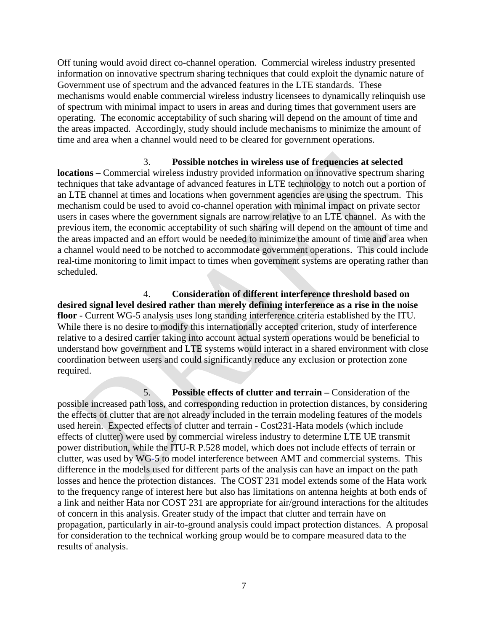Off tuning would avoid direct co-channel operation. Commercial wireless industry presented information on innovative spectrum sharing techniques that could exploit the dynamic nature of Government use of spectrum and the advanced features in the LTE standards. These mechanisms would enable commercial wireless industry licensees to dynamically relinquish use of spectrum with minimal impact to users in areas and during times that government users are operating. The economic acceptability of such sharing will depend on the amount of time and the areas impacted. Accordingly, study should include mechanisms to minimize the amount of time and area when a channel would need to be cleared for government operations.

3. **Possible notches in wireless use of frequencies at selected locations** – Commercial wireless industry provided information on innovative spectrum sharing techniques that take advantage of advanced features in LTE technology to notch out a portion of an LTE channel at times and locations when government agencies are using the spectrum. This mechanism could be used to avoid co-channel operation with minimal impact on private sector users in cases where the government signals are narrow relative to an LTE channel. As with the previous item, the economic acceptability of such sharing will depend on the amount of time and the areas impacted and an effort would be needed to minimize the amount of time and area when a channel would need to be notched to accommodate government operations. This could include real-time monitoring to limit impact to times when government systems are operating rather than scheduled.

4. **Consideration of different interference threshold based on desired signal level desired rather than merely defining interference as a rise in the noise floor** - Current WG-5 analysis uses long standing interference criteria established by the ITU. While there is no desire to modify this internationally accepted criterion, study of interference relative to a desired carrier taking into account actual system operations would be beneficial to understand how government and LTE systems would interact in a shared environment with close coordination between users and could significantly reduce any exclusion or protection zone required.

5. **Possible effects of clutter and terrain –** Consideration of the possible increased path loss, and corresponding reduction in protection distances, by considering the effects of clutter that are not already included in the terrain modeling features of the models used herein. Expected effects of clutter and terrain - Cost231-Hata models (which include effects of clutter) were used by commercial wireless industry to determine LTE UE transmit power distribution, while the ITU-R P.528 model, which does not include effects of terrain or clutter, was used by WG-5 to model interference between AMT and commercial systems. This difference in the models used for different parts of the analysis can have an impact on the path losses and hence the protection distances. The COST 231 model extends some of the Hata work to the frequency range of interest here but also has limitations on antenna heights at both ends of a link and neither Hata nor COST 231 are appropriate for air/ground interactions for the altitudes of concern in this analysis. Greater study of the impact that clutter and terrain have on propagation, particularly in air-to-ground analysis could impact protection distances. A proposal for consideration to the technical working group would be to compare measured data to the results of analysis.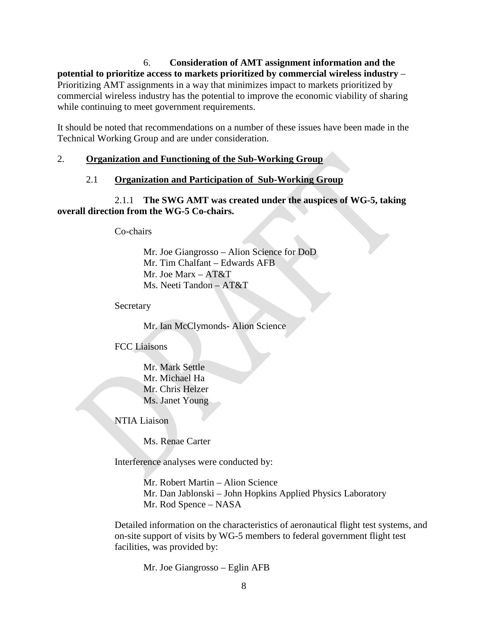6. **Consideration of AMT assignment information and the potential to prioritize access to markets prioritized by commercial wireless industry** – Prioritizing AMT assignments in a way that minimizes impact to markets prioritized by commercial wireless industry has the potential to improve the economic viability of sharing while continuing to meet government requirements.

It should be noted that recommendations on a number of these issues have been made in the Technical Working Group and are under consideration.

## 2. **Organization and Functioning of the Sub-Working Group**

## 2.1 **Organization and Participation of Sub-Working Group**

2.1.1 **The SWG AMT was created under the auspices of WG-5, taking overall direction from the WG-5 Co-chairs.**

Co-chairs

Mr. Joe Giangrosso – Alion Science for DoD Mr. Tim Chalfant – Edwards AFB Mr. Joe Marx – AT&T Ms. Neeti Tandon – AT&T

Secretary

Mr. Ian McClymonds- Alion Science

FCC Liaisons

Mr. Mark Settle Mr. Michael Ha Mr. Chris Helzer Ms. Janet Young

NTIA Liaison

Ms. Renae Carter

Interference analyses were conducted by:

Mr. Robert Martin – Alion Science Mr. Dan Jablonski – John Hopkins Applied Physics Laboratory Mr. Rod Spence – NASA

Detailed information on the characteristics of aeronautical flight test systems, and on-site support of visits by WG-5 members to federal government flight test facilities, was provided by:

Mr. Joe Giangrosso – Eglin AFB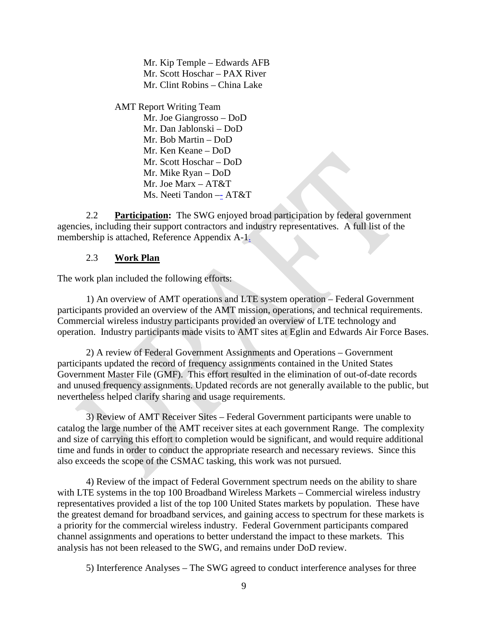Mr. Kip Temple – Edwards AFB Mr. Scott Hoschar – PAX River Mr. Clint Robins – China Lake

AMT Report Writing Team Mr. Joe Giangrosso – DoD Mr. Dan Jablonski – DoD Mr. Bob Martin – DoD Mr. Ken Keane – DoD Mr. Scott Hoschar – DoD Mr. Mike Ryan – DoD Mr. Joe Marx – AT&T Ms. Neeti Tandon –- AT&T

2.2 **Participation:** The SWG enjoyed broad participation by federal government agencies, including their support contractors and industry representatives. A full list of the membership is attached, Reference Appendix A-1.

## 2.3 **Work Plan**

The work plan included the following efforts:

1) An overview of AMT operations and LTE system operation – Federal Government participants provided an overview of the AMT mission, operations, and technical requirements. Commercial wireless industry participants provided an overview of LTE technology and operation. Industry participants made visits to AMT sites at Eglin and Edwards Air Force Bases.

2) A review of Federal Government Assignments and Operations – Government participants updated the record of frequency assignments contained in the United States Government Master File (GMF). This effort resulted in the elimination of out-of-date records and unused frequency assignments. Updated records are not generally available to the public, but nevertheless helped clarify sharing and usage requirements.

3) Review of AMT Receiver Sites – Federal Government participants were unable to catalog the large number of the AMT receiver sites at each government Range. The complexity and size of carrying this effort to completion would be significant, and would require additional time and funds in order to conduct the appropriate research and necessary reviews. Since this also exceeds the scope of the CSMAC tasking, this work was not pursued.

4) Review of the impact of Federal Government spectrum needs on the ability to share with LTE systems in the top 100 Broadband Wireless Markets – Commercial wireless industry representatives provided a list of the top 100 United States markets by population. These have the greatest demand for broadband services, and gaining access to spectrum for these markets is a priority for the commercial wireless industry. Federal Government participants compared channel assignments and operations to better understand the impact to these markets. This analysis has not been released to the SWG, and remains under DoD review.

5) Interference Analyses – The SWG agreed to conduct interference analyses for three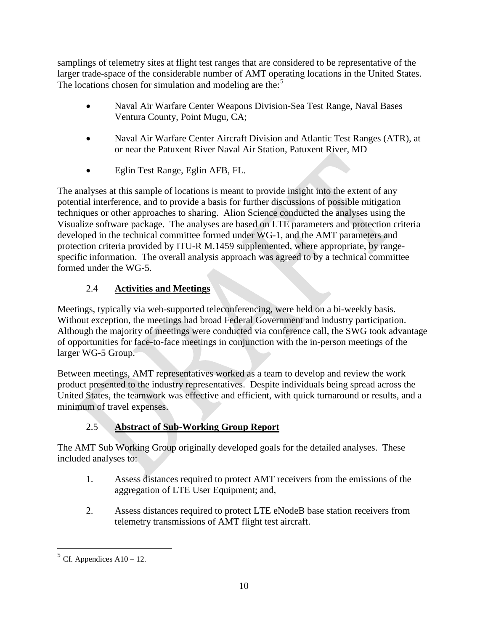samplings of telemetry sites at flight test ranges that are considered to be representative of the larger trade-space of the considerable number of AMT operating locations in the United States. The locations chosen for simulation and modeling are the:<sup>[5](#page-9-0)</sup>

- Naval Air Warfare Center Weapons Division-Sea Test Range, Naval Bases Ventura County, Point Mugu, CA;
- Naval Air Warfare Center Aircraft Division and Atlantic Test Ranges (ATR), at or near the Patuxent River Naval Air Station, Patuxent River, MD
- Eglin Test Range, Eglin AFB, FL.

The analyses at this sample of locations is meant to provide insight into the extent of any potential interference, and to provide a basis for further discussions of possible mitigation techniques or other approaches to sharing. Alion Science conducted the analyses using the Visualize software package. The analyses are based on LTE parameters and protection criteria developed in the technical committee formed under WG-1, and the AMT parameters and protection criteria provided by ITU-R M.1459 supplemented, where appropriate, by rangespecific information. The overall analysis approach was agreed to by a technical committee formed under the WG-5.

# 2.4 **Activities and Meetings**

Meetings, typically via web-supported teleconferencing, were held on a bi-weekly basis. Without exception, the meetings had broad Federal Government and industry participation. Although the majority of meetings were conducted via conference call, the SWG took advantage of opportunities for face-to-face meetings in conjunction with the in-person meetings of the larger WG-5 Group.

Between meetings, AMT representatives worked as a team to develop and review the work product presented to the industry representatives. Despite individuals being spread across the United States, the teamwork was effective and efficient, with quick turnaround or results, and a minimum of travel expenses.

# 2.5 **Abstract of Sub-Working Group Report**

The AMT Sub Working Group originally developed goals for the detailed analyses. These included analyses to:

- 1. Assess distances required to protect AMT receivers from the emissions of the aggregation of LTE User Equipment; and,
- 2. Assess distances required to protect LTE eNodeB base station receivers from telemetry transmissions of AMT flight test aircraft.

<span id="page-9-0"></span> $5$  Cf. Appendices A10 – 12.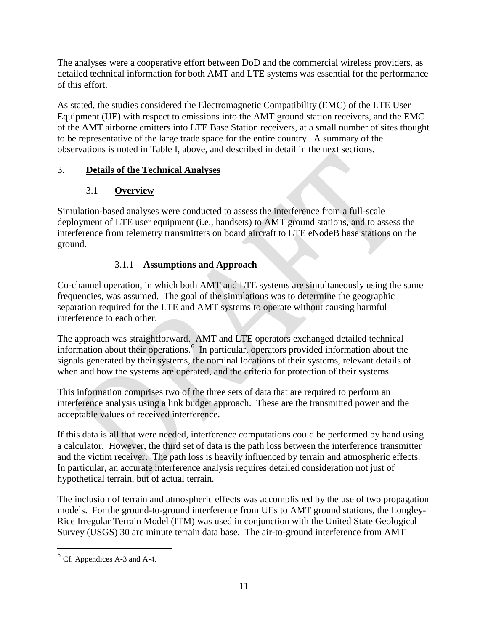The analyses were a cooperative effort between DoD and the commercial wireless providers, as detailed technical information for both AMT and LTE systems was essential for the performance of this effort.

As stated, the studies considered the Electromagnetic Compatibility (EMC) of the LTE User Equipment (UE) with respect to emissions into the AMT ground station receivers, and the EMC of the AMT airborne emitters into LTE Base Station receivers, at a small number of sites thought to be representative of the large trade space for the entire country. A summary of the observations is noted in Table I, above, and described in detail in the next sections.

# 3. **Details of the Technical Analyses**

# 3.1 **Overview**

Simulation-based analyses were conducted to assess the interference from a full-scale deployment of LTE user equipment (i.e., handsets) to AMT ground stations, and to assess the interference from telemetry transmitters on board aircraft to LTE eNodeB base stations on the ground.

# 3.1.1 **Assumptions and Approach**

Co-channel operation, in which both AMT and LTE systems are simultaneously using the same frequencies, was assumed. The goal of the simulations was to determine the geographic separation required for the LTE and AMT systems to operate without causing harmful interference to each other.

The approach was straightforward. AMT and LTE operators exchanged detailed technical information about their operations.<sup>[6](#page-10-0)</sup> In particular, operators provided information about the signals generated by their systems, the nominal locations of their systems, relevant details of when and how the systems are operated, and the criteria for protection of their systems.

This information comprises two of the three sets of data that are required to perform an interference analysis using a link budget approach. These are the transmitted power and the acceptable values of received interference.

If this data is all that were needed, interference computations could be performed by hand using a calculator. However, the third set of data is the path loss between the interference transmitter and the victim receiver. The path loss is heavily influenced by terrain and atmospheric effects. In particular, an accurate interference analysis requires detailed consideration not just of hypothetical terrain, but of actual terrain.

The inclusion of terrain and atmospheric effects was accomplished by the use of two propagation models. For the ground-to-ground interference from UEs to AMT ground stations, the Longley-Rice Irregular Terrain Model (ITM) was used in conjunction with the United State Geological Survey (USGS) 30 arc minute terrain data base. The air-to-ground interference from AMT

<span id="page-10-0"></span> $6$  Cf. Appendices A-3 and A-4.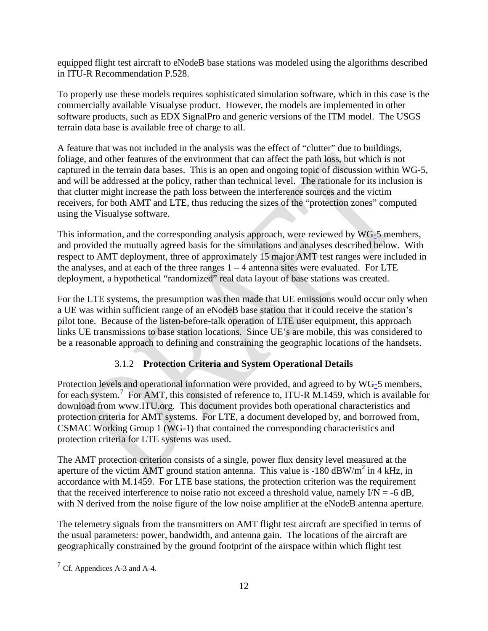equipped flight test aircraft to eNodeB base stations was modeled using the algorithms described in ITU-R Recommendation P.528.

To properly use these models requires sophisticated simulation software, which in this case is the commercially available Visualyse product. However, the models are implemented in other software products, such as EDX SignalPro and generic versions of the ITM model. The USGS terrain data base is available free of charge to all.

A feature that was not included in the analysis was the effect of "clutter" due to buildings, foliage, and other features of the environment that can affect the path loss, but which is not captured in the terrain data bases. This is an open and ongoing topic of discussion within WG-5, and will be addressed at the policy, rather than technical level. The rationale for its inclusion is that clutter might increase the path loss between the interference sources and the victim receivers, for both AMT and LTE, thus reducing the sizes of the "protection zones" computed using the Visualyse software.

This information, and the corresponding analysis approach, were reviewed by WG-5 members, and provided the mutually agreed basis for the simulations and analyses described below. With respect to AMT deployment, three of approximately 15 major AMT test ranges were included in the analyses, and at each of the three ranges  $1 - 4$  antenna sites were evaluated. For LTE deployment, a hypothetical "randomized" real data layout of base stations was created.

For the LTE systems, the presumption was then made that UE emissions would occur only when a UE was within sufficient range of an eNodeB base station that it could receive the station's pilot tone. Because of the listen-before-talk operation of LTE user equipment, this approach links UE transmissions to base station locations. Since UE's are mobile, this was considered to be a reasonable approach to defining and constraining the geographic locations of the handsets.

# 3.1.2 **Protection Criteria and System Operational Details**

Protection levels and operational information were provided, and agreed to by WG-5 members, for each system.<sup>[7](#page-11-0)</sup> For AMT, this consisted of reference to, ITU-R M.1459, which is available for download from www.ITU.org. This document provides both operational characteristics and protection criteria for AMT systems. For LTE, a document developed by, and borrowed from, CSMAC Working Group 1 (WG-1) that contained the corresponding characteristics and protection criteria for LTE systems was used.

The AMT protection criterion consists of a single, power flux density level measured at the aperture of the victim AMT ground station antenna. This value is -180  $\text{dBW/m}^2$  in 4 kHz, in accordance with M.1459. For LTE base stations, the protection criterion was the requirement that the received interference to noise ratio not exceed a threshold value, namely  $I/N = -6$  dB, with N derived from the noise figure of the low noise amplifier at the eNodeB antenna aperture.

The telemetry signals from the transmitters on AMT flight test aircraft are specified in terms of the usual parameters: power, bandwidth, and antenna gain. The locations of the aircraft are geographically constrained by the ground footprint of the airspace within which flight test

<span id="page-11-0"></span> $<sup>7</sup>$  Cf. Appendices A-3 and A-4.</sup>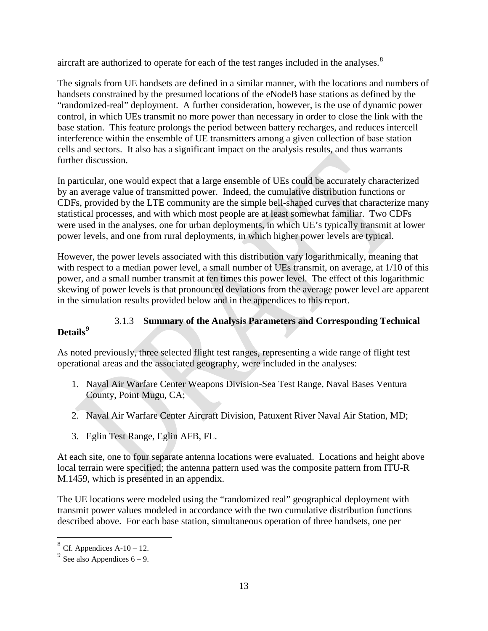aircraft are authorized to operate for each of the test ranges included in the analyses. $8<sup>8</sup>$  $8<sup>8</sup>$ 

The signals from UE handsets are defined in a similar manner, with the locations and numbers of handsets constrained by the presumed locations of the eNodeB base stations as defined by the "randomized-real" deployment. A further consideration, however, is the use of dynamic power control, in which UEs transmit no more power than necessary in order to close the link with the base station. This feature prolongs the period between battery recharges, and reduces intercell interference within the ensemble of UE transmitters among a given collection of base station cells and sectors. It also has a significant impact on the analysis results, and thus warrants further discussion.

In particular, one would expect that a large ensemble of UEs could be accurately characterized by an average value of transmitted power. Indeed, the cumulative distribution functions or CDFs, provided by the LTE community are the simple bell-shaped curves that characterize many statistical processes, and with which most people are at least somewhat familiar. Two CDFs were used in the analyses, one for urban deployments, in which UE's typically transmit at lower power levels, and one from rural deployments, in which higher power levels are typical.

However, the power levels associated with this distribution vary logarithmically, meaning that with respect to a median power level, a small number of UEs transmit, on average, at  $1/10$  of this power, and a small number transmit at ten times this power level. The effect of this logarithmic skewing of power levels is that pronounced deviations from the average power level are apparent in the simulation results provided below and in the appendices to this report.

#### 3.1.3 **Summary of the Analysis Parameters and Corresponding Technical Details[9](#page-12-1)**

As noted previously, three selected flight test ranges, representing a wide range of flight test operational areas and the associated geography, were included in the analyses:

- 1. Naval Air Warfare Center Weapons Division-Sea Test Range, Naval Bases Ventura County, Point Mugu, CA;
- 2. Naval Air Warfare Center Aircraft Division, Patuxent River Naval Air Station, MD;
- 3. Eglin Test Range, Eglin AFB, FL.

At each site, one to four separate antenna locations were evaluated. Locations and height above local terrain were specified; the antenna pattern used was the composite pattern from ITU-R M.1459, which is presented in an appendix.

The UE locations were modeled using the "randomized real" geographical deployment with transmit power values modeled in accordance with the two cumulative distribution functions described above. For each base station, simultaneous operation of three handsets, one per

<span id="page-12-0"></span> $8$  Cf. Appendices A-10 – 12.

<span id="page-12-1"></span> $9^9$  See also Appendices 6 – 9.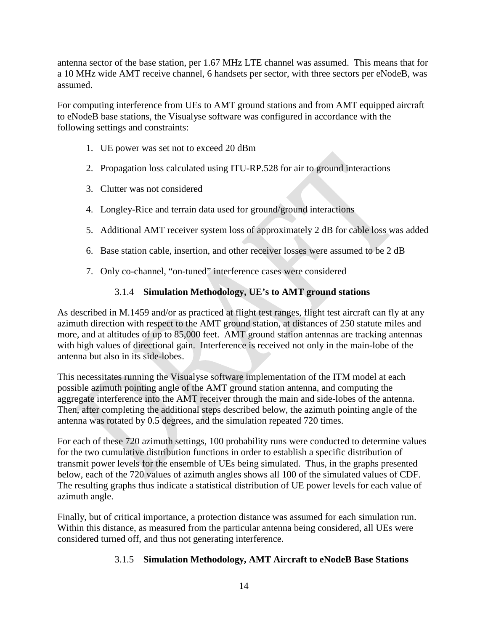antenna sector of the base station, per 1.67 MHz LTE channel was assumed. This means that for a 10 MHz wide AMT receive channel, 6 handsets per sector, with three sectors per eNodeB, was assumed.

For computing interference from UEs to AMT ground stations and from AMT equipped aircraft to eNodeB base stations, the Visualyse software was configured in accordance with the following settings and constraints:

- 1. UE power was set not to exceed 20 dBm
- 2. Propagation loss calculated using ITU-RP.528 for air to ground interactions
- 3. Clutter was not considered
- 4. Longley-Rice and terrain data used for ground/ground interactions
- 5. Additional AMT receiver system loss of approximately 2 dB for cable loss was added
- 6. Base station cable, insertion, and other receiver losses were assumed to be 2 dB
- 7. Only co-channel, "on-tuned" interference cases were considered

## 3.1.4 **Simulation Methodology, UE's to AMT ground stations**

As described in M.1459 and/or as practiced at flight test ranges, flight test aircraft can fly at any azimuth direction with respect to the AMT ground station, at distances of 250 statute miles and more, and at altitudes of up to 85,000 feet. AMT ground station antennas are tracking antennas with high values of directional gain. Interference is received not only in the main-lobe of the antenna but also in its side-lobes.

This necessitates running the Visualyse software implementation of the ITM model at each possible azimuth pointing angle of the AMT ground station antenna, and computing the aggregate interference into the AMT receiver through the main and side-lobes of the antenna. Then, after completing the additional steps described below, the azimuth pointing angle of the antenna was rotated by 0.5 degrees, and the simulation repeated 720 times.

For each of these 720 azimuth settings, 100 probability runs were conducted to determine values for the two cumulative distribution functions in order to establish a specific distribution of transmit power levels for the ensemble of UEs being simulated. Thus, in the graphs presented below, each of the 720 values of azimuth angles shows all 100 of the simulated values of CDF. The resulting graphs thus indicate a statistical distribution of UE power levels for each value of azimuth angle.

Finally, but of critical importance, a protection distance was assumed for each simulation run. Within this distance, as measured from the particular antenna being considered, all UEs were considered turned off, and thus not generating interference.

## 3.1.5 **Simulation Methodology, AMT Aircraft to eNodeB Base Stations**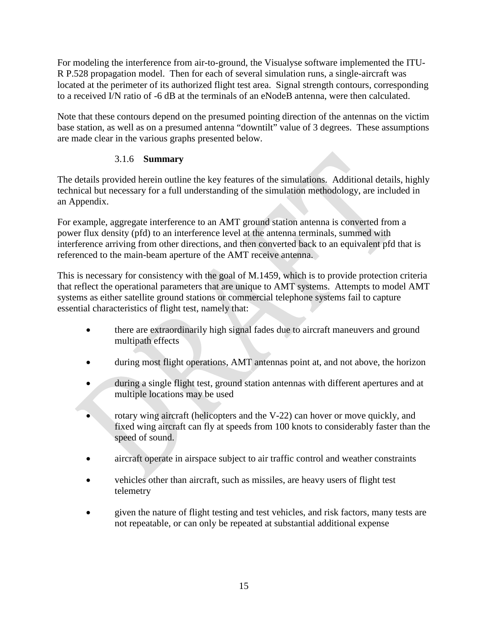For modeling the interference from air-to-ground, the Visualyse software implemented the ITU-R P.528 propagation model. Then for each of several simulation runs, a single-aircraft was located at the perimeter of its authorized flight test area. Signal strength contours, corresponding to a received I/N ratio of -6 dB at the terminals of an eNodeB antenna, were then calculated.

Note that these contours depend on the presumed pointing direction of the antennas on the victim base station, as well as on a presumed antenna "downtilt" value of 3 degrees. These assumptions are made clear in the various graphs presented below.

## 3.1.6 **Summary**

The details provided herein outline the key features of the simulations. Additional details, highly technical but necessary for a full understanding of the simulation methodology, are included in an Appendix.

For example, aggregate interference to an AMT ground station antenna is converted from a power flux density (pfd) to an interference level at the antenna terminals, summed with interference arriving from other directions, and then converted back to an equivalent pfd that is referenced to the main-beam aperture of the AMT receive antenna.

This is necessary for consistency with the goal of M.1459, which is to provide protection criteria that reflect the operational parameters that are unique to AMT systems. Attempts to model AMT systems as either satellite ground stations or commercial telephone systems fail to capture essential characteristics of flight test, namely that:

- there are extraordinarily high signal fades due to aircraft maneuvers and ground multipath effects
- during most flight operations, AMT antennas point at, and not above, the horizon
- during a single flight test, ground station antennas with different apertures and at multiple locations may be used
- rotary wing aircraft (helicopters and the V-22) can hover or move quickly, and fixed wing aircraft can fly at speeds from 100 knots to considerably faster than the speed of sound.
- aircraft operate in airspace subject to air traffic control and weather constraints
- vehicles other than aircraft, such as missiles, are heavy users of flight test telemetry
- given the nature of flight testing and test vehicles, and risk factors, many tests are not repeatable, or can only be repeated at substantial additional expense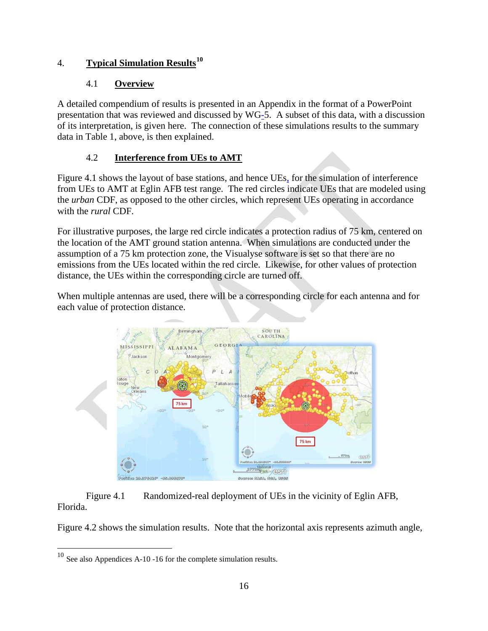# 4. **Typical Simulation Results[10](#page-15-0)**

## 4.1 **Overview**

A detailed compendium of results is presented in an Appendix in the format of a PowerPoint presentation that was reviewed and discussed by WG-5. A subset of this data, with a discussion of its interpretation, is given here. The connection of these simulations results to the summary data in Table 1, above, is then explained.

# 4.2 **Interference from UEs to AMT**

Figure 4.1 shows the layout of base stations, and hence UEs, for the simulation of interference from UEs to AMT at Eglin AFB test range. The red circles indicate UEs that are modeled using the *urban* CDF, as opposed to the other circles, which represent UEs operating in accordance with the *rural* CDF.

For illustrative purposes, the large red circle indicates a protection radius of 75 km, centered on the location of the AMT ground station antenna. When simulations are conducted under the assumption of a 75 km protection zone, the Visualyse software is set so that there are no emissions from the UEs located within the red circle. Likewise, for other values of protection distance, the UEs within the corresponding circle are turned off.

When multiple antennas are used, there will be a corresponding circle for each antenna and for each value of protection distance.



## Figure 4.1 Randomized-real deployment of UEs in the vicinity of Eglin AFB, Florida.

Figure 4.2 shows the simulation results. Note that the horizontal axis represents azimuth angle,

<span id="page-15-0"></span> <sup>10</sup> See also Appendices A-10 -16 for the complete simulation results.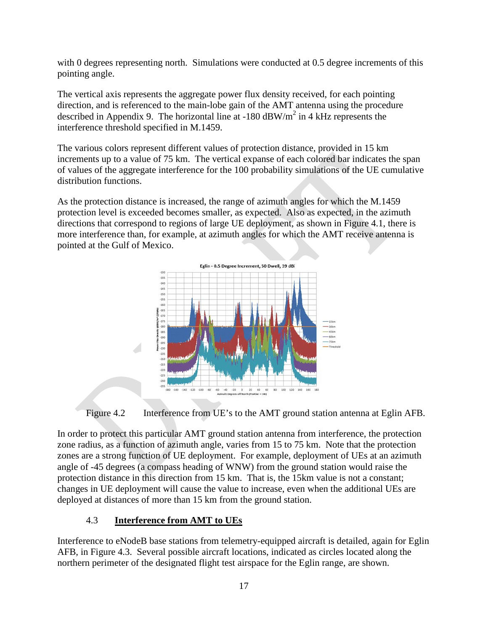with 0 degrees representing north. Simulations were conducted at 0.5 degree increments of this pointing angle.

The vertical axis represents the aggregate power flux density received, for each pointing direction, and is referenced to the main-lobe gain of the AMT antenna using the procedure described in Appendix 9. The horizontal line at  $-180$  dBW/m<sup>2</sup> in 4 kHz represents the interference threshold specified in M.1459.

The various colors represent different values of protection distance, provided in 15 km increments up to a value of 75 km. The vertical expanse of each colored bar indicates the span of values of the aggregate interference for the 100 probability simulations of the UE cumulative distribution functions.

As the protection distance is increased, the range of azimuth angles for which the M.1459 protection level is exceeded becomes smaller, as expected. Also as expected, in the azimuth directions that correspond to regions of large UE deployment, as shown in Figure 4.1, there is more interference than, for example, at azimuth angles for which the AMT receive antenna is pointed at the Gulf of Mexico.



Figure 4.2 Interference from UE's to the AMT ground station antenna at Eglin AFB.

In order to protect this particular AMT ground station antenna from interference, the protection zone radius, as a function of azimuth angle, varies from 15 to 75 km. Note that the protection zones are a strong function of UE deployment. For example, deployment of UEs at an azimuth angle of -45 degrees (a compass heading of WNW) from the ground station would raise the protection distance in this direction from 15 km. That is, the 15km value is not a constant; changes in UE deployment will cause the value to increase, even when the additional UEs are deployed at distances of more than 15 km from the ground station.

## 4.3 **Interference from AMT to UEs**

Interference to eNodeB base stations from telemetry-equipped aircraft is detailed, again for Eglin AFB, in Figure 4.3. Several possible aircraft locations, indicated as circles located along the northern perimeter of the designated flight test airspace for the Eglin range, are shown.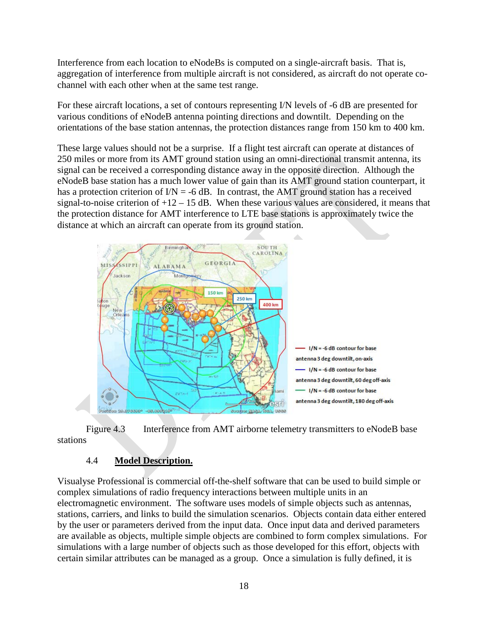Interference from each location to eNodeBs is computed on a single-aircraft basis. That is, aggregation of interference from multiple aircraft is not considered, as aircraft do not operate cochannel with each other when at the same test range.

For these aircraft locations, a set of contours representing I/N levels of -6 dB are presented for various conditions of eNodeB antenna pointing directions and downtilt. Depending on the orientations of the base station antennas, the protection distances range from 150 km to 400 km.

These large values should not be a surprise. If a flight test aircraft can operate at distances of 250 miles or more from its AMT ground station using an omni-directional transmit antenna, its signal can be received a corresponding distance away in the opposite direction. Although the eNodeB base station has a much lower value of gain than its AMT ground station counterpart, it has a protection criterion of  $IN = -6$  dB. In contrast, the AMT ground station has a received signal-to-noise criterion of  $+12 - 15$  dB. When these various values are considered, it means that the protection distance for AMT interference to LTE base stations is approximately twice the distance at which an aircraft can operate from its ground station.



Figure 4.3 Interference from AMT airborne telemetry transmitters to eNodeB base stations

## 4.4 **Model Description.**

Visualyse Professional is commercial off-the-shelf software that can be used to build simple or complex simulations of radio frequency interactions between multiple units in an electromagnetic environment. The software uses models of simple objects such as antennas, stations, carriers, and links to build the simulation scenarios. Objects contain data either entered by the user or parameters derived from the input data. Once input data and derived parameters are available as objects, multiple simple objects are combined to form complex simulations. For simulations with a large number of objects such as those developed for this effort, objects with certain similar attributes can be managed as a group. Once a simulation is fully defined, it is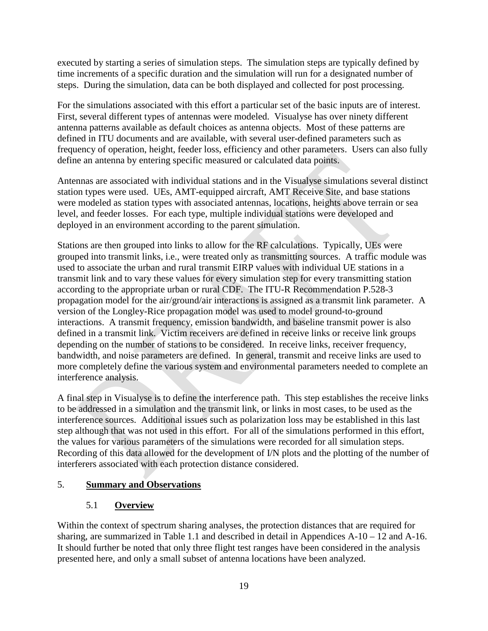executed by starting a series of simulation steps. The simulation steps are typically defined by time increments of a specific duration and the simulation will run for a designated number of steps. During the simulation, data can be both displayed and collected for post processing.

For the simulations associated with this effort a particular set of the basic inputs are of interest. First, several different types of antennas were modeled. Visualyse has over ninety different antenna patterns available as default choices as antenna objects. Most of these patterns are defined in ITU documents and are available, with several user-defined parameters such as frequency of operation, height, feeder loss, efficiency and other parameters. Users can also fully define an antenna by entering specific measured or calculated data points.

Antennas are associated with individual stations and in the Visualyse simulations several distinct station types were used. UEs, AMT-equipped aircraft, AMT Receive Site, and base stations were modeled as station types with associated antennas, locations, heights above terrain or sea level, and feeder losses. For each type, multiple individual stations were developed and deployed in an environment according to the parent simulation.

Stations are then grouped into links to allow for the RF calculations. Typically, UEs were grouped into transmit links, i.e., were treated only as transmitting sources. A traffic module was used to associate the urban and rural transmit EIRP values with individual UE stations in a transmit link and to vary these values for every simulation step for every transmitting station according to the appropriate urban or rural CDF. The ITU-R Recommendation P.528-3 propagation model for the air/ground/air interactions is assigned as a transmit link parameter. A version of the Longley-Rice propagation model was used to model ground-to-ground interactions. A transmit frequency, emission bandwidth, and baseline transmit power is also defined in a transmit link. Victim receivers are defined in receive links or receive link groups depending on the number of stations to be considered. In receive links, receiver frequency, bandwidth, and noise parameters are defined. In general, transmit and receive links are used to more completely define the various system and environmental parameters needed to complete an interference analysis.

A final step in Visualyse is to define the interference path. This step establishes the receive links to be addressed in a simulation and the transmit link, or links in most cases, to be used as the interference sources. Additional issues such as polarization loss may be established in this last step although that was not used in this effort. For all of the simulations performed in this effort, the values for various parameters of the simulations were recorded for all simulation steps. Recording of this data allowed for the development of I/N plots and the plotting of the number of interferers associated with each protection distance considered.

## 5. **Summary and Observations**

## 5.1 **Overview**

Within the context of spectrum sharing analyses, the protection distances that are required for sharing, are summarized in Table 1.1 and described in detail in Appendices  $A-10-12$  and  $A-16$ . It should further be noted that only three flight test ranges have been considered in the analysis presented here, and only a small subset of antenna locations have been analyzed.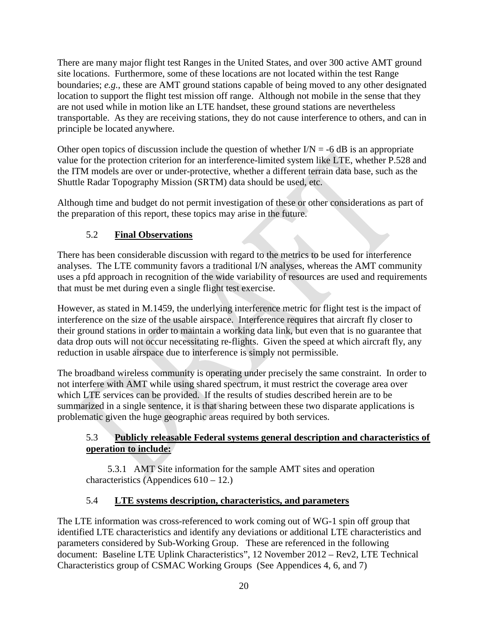There are many major flight test Ranges in the United States, and over 300 active AMT ground site locations. Furthermore, some of these locations are not located within the test Range boundaries; *e.g.*, these are AMT ground stations capable of being moved to any other designated location to support the flight test mission off range. Although not mobile in the sense that they are not used while in motion like an LTE handset, these ground stations are nevertheless transportable. As they are receiving stations, they do not cause interference to others, and can in principle be located anywhere.

Other open topics of discussion include the question of whether  $I/N = -6$  dB is an appropriate value for the protection criterion for an interference-limited system like LTE, whether P.528 and the ITM models are over or under-protective, whether a different terrain data base, such as the Shuttle Radar Topography Mission (SRTM) data should be used, etc.

Although time and budget do not permit investigation of these or other considerations as part of the preparation of this report, these topics may arise in the future.

## 5.2 **Final Observations**

There has been considerable discussion with regard to the metrics to be used for interference analyses. The LTE community favors a traditional I/N analyses, whereas the AMT community uses a pfd approach in recognition of the wide variability of resources are used and requirements that must be met during even a single flight test exercise.

However, as stated in M.1459, the underlying interference metric for flight test is the impact of interference on the size of the usable airspace. Interference requires that aircraft fly closer to their ground stations in order to maintain a working data link, but even that is no guarantee that data drop outs will not occur necessitating re-flights. Given the speed at which aircraft fly, any reduction in usable airspace due to interference is simply not permissible.

The broadband wireless community is operating under precisely the same constraint. In order to not interfere with AMT while using shared spectrum, it must restrict the coverage area over which LTE services can be provided. If the results of studies described herein are to be summarized in a single sentence, it is that sharing between these two disparate applications is problematic given the huge geographic areas required by both services.

## 5.3 **Publicly releasable Federal systems general description and characteristics of operation to include:**

5.3.1 AMT Site information for the sample AMT sites and operation characteristics (Appendices  $610 - 12$ .)

## 5.4 **LTE systems description, characteristics, and parameters**

The LTE information was cross-referenced to work coming out of WG-1 spin off group that identified LTE characteristics and identify any deviations or additional LTE characteristics and parameters considered by Sub-Working Group. These are referenced in the following document: Baseline LTE Uplink Characteristics", 12 November 2012 – Rev2, LTE Technical Characteristics group of CSMAC Working Groups (See Appendices 4, 6, and 7)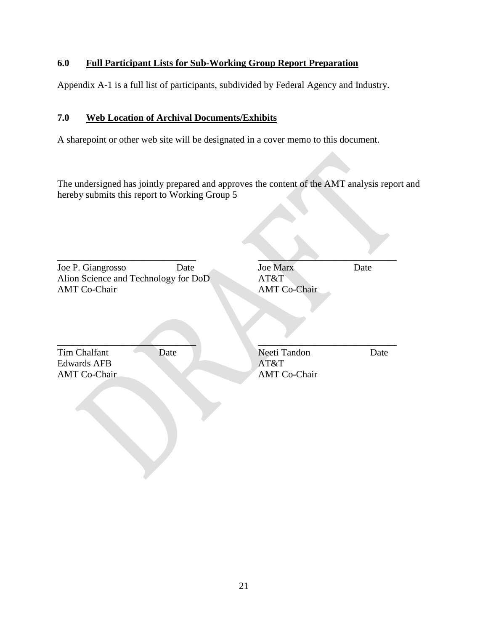## **6.0 Full Participant Lists for Sub-Working Group Report Preparation**

Appendix A-1 is a full list of participants, subdivided by Federal Agency and Industry.

## **7.0 Web Location of Archival Documents/Exhibits**

A sharepoint or other web site will be designated in a cover memo to this document.

The undersigned has jointly prepared and approves the content of the AMT analysis report and hereby submits this report to Working Group 5

| Joe P. Giangrosso<br>Alion Science and Technology for DoD<br><b>AMT Co-Chair</b> | Date | <b>Joe Marx</b><br>AT&T<br><b>AMT Co-Chair</b> | Date |
|----------------------------------------------------------------------------------|------|------------------------------------------------|------|
| Tim Chalfant<br>Date<br><b>Edwards AFB</b><br><b>AMT Co-Chair</b>                |      | Neeti Tandon<br>AT&T<br><b>AMT Co-Chair</b>    | Date |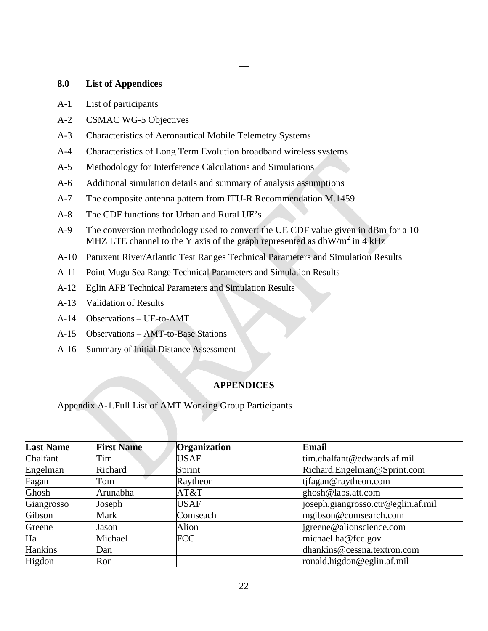#### **8.0 List of Appendices**

- A-1 List of participants
- A-2 CSMAC WG-5 Objectives
- A-3 Characteristics of Aeronautical Mobile Telemetry Systems
- A-4 Characteristics of Long Term Evolution broadband wireless systems
- A-5 Methodology for Interference Calculations and Simulations
- A-6 Additional simulation details and summary of analysis assumptions
- A-7 The composite antenna pattern from ITU-R Recommendation M.1459
- A-8 The CDF functions for Urban and Rural UE's
- A-9 The conversion methodology used to convert the UE CDF value given in dBm for a 10 MHZ LTE channel to the Y axis of the graph represented as  $dbW/m^2$  in 4 kHz

 $\overline{\phantom{0}}$ 

- A-10 Patuxent River/Atlantic Test Ranges Technical Parameters and Simulation Results
- A-11 Point Mugu Sea Range Technical Parameters and Simulation Results
- A-12 Eglin AFB Technical Parameters and Simulation Results
- A-13 Validation of Results
- A-14 Observations UE-to-AMT
- A-15 Observations AMT-to-Base Stations
- A-16 Summary of Initial Distance Assessment

#### **APPENDICES**

Appendix A-1.Full List of AMT Working Group Participants

| <b>Last Name</b> | <b>First Name</b> | Organization | Email                              |
|------------------|-------------------|--------------|------------------------------------|
| Chalfant         | Tim               | <b>USAF</b>  | tim.chalfant@edwards.af.mil        |
| Engelman         | Richard           | Sprint       | Richard.Engelman@Sprint.com        |
| Fagan            | Tom               | Raytheon     | tjfagan@raytheon.com               |
| Ghosh            | Arunabha          | AT&T         | ghosh@labs.att.com                 |
| Giangrosso       | Joseph            | <b>USAF</b>  | joseph.giangrosso.ctr@eglin.af.mil |
| Gibson           | Mark              | Comseach     | mgibson@comsearch.com              |
| Greene           | Jason             | Alion        | igreene@alionscience.com           |
| Ha               | Michael           | <b>FCC</b>   | michael.ha@fcc.gov                 |
| <b>Hankins</b>   | Dan               |              | dhankins@cessna.textron.com        |
| Higdon           | Ron               |              | ronald.higdon@eglin.af.mil         |